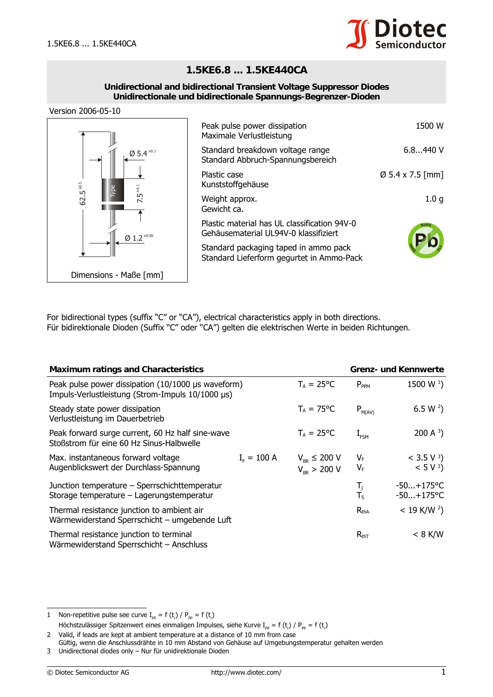

## **1.5KE6.8 ... 1.5KE440CA**

## **Unidirectional and bidirectional Transient Voltage Suppressor Diodes Unidirectionale und bidirectionale Spannungs-Begrenzer-Dioden**





| Peak pulse power dissipation<br>Maximale Verlustleistung                              | 1500 W                       |
|---------------------------------------------------------------------------------------|------------------------------|
| Standard breakdown voltage range<br>Standard Abbruch-Spannungsbereich                 | 6.8440V                      |
| Plastic case<br>Kunststoffgehäuse                                                     | $\varnothing$ 5.4 x 7.5 [mm] |
| Weight approx.<br>Gewicht ca.                                                         | 1.0 g                        |
| Plastic material has UL classification 94V-0<br>Gehäusematerial UL94V-0 klassifiziert | <b>ROHS</b>                  |
| Standard packaging taped in ammo pack<br>Standard Lieferform gegurtet in Ammo-Pack    |                              |

|                                                                                                                                                                                                                                                                                                                                                                                                                                                                                    | nanswwngchausc                                                                                                                 |                                                   |                      |                                                |  |
|------------------------------------------------------------------------------------------------------------------------------------------------------------------------------------------------------------------------------------------------------------------------------------------------------------------------------------------------------------------------------------------------------------------------------------------------------------------------------------|--------------------------------------------------------------------------------------------------------------------------------|---------------------------------------------------|----------------------|------------------------------------------------|--|
| $62.5^{*0}$<br>$7.5^{\pm0.1}$                                                                                                                                                                                                                                                                                                                                                                                                                                                      | Weight approx.<br>Gewicht ca.                                                                                                  |                                                   |                      | 1.0 <sub>g</sub>                               |  |
| $\emptyset$ 1.2 $^{\pm 0.05}$                                                                                                                                                                                                                                                                                                                                                                                                                                                      | Plastic material has UL classification 94V-0<br>Gehäusematerial UL94V-0 klassifiziert<br>Standard packaging taped in ammo pack |                                                   |                      |                                                |  |
|                                                                                                                                                                                                                                                                                                                                                                                                                                                                                    | Standard Lieferform gegurtet in Ammo-Pack                                                                                      |                                                   |                      |                                                |  |
| Dimensions - Maße [mm]                                                                                                                                                                                                                                                                                                                                                                                                                                                             |                                                                                                                                |                                                   |                      |                                                |  |
| For bidirectional types (suffix "C" or "CA"), electrical characteristics apply in both directions.<br>Für bidirektionale Dioden (Suffix "C" oder "CA") gelten die elektrischen Werte in beiden Richtungen.                                                                                                                                                                                                                                                                         |                                                                                                                                |                                                   |                      |                                                |  |
| <b>Maximum ratings and Characteristics</b>                                                                                                                                                                                                                                                                                                                                                                                                                                         |                                                                                                                                |                                                   |                      | <b>Grenz- und Kennwerte</b>                    |  |
| Peak pulse power dissipation (10/1000 µs waveform)<br>Impuls-Verlustleistung (Strom-Impuls 10/1000 µs)                                                                                                                                                                                                                                                                                                                                                                             |                                                                                                                                | $T_A = 25^{\circ}C$                               | $P_{PPM}$            | 1500 W $^{1}$ )                                |  |
| Steady state power dissipation<br>Verlustleistung im Dauerbetrieb                                                                                                                                                                                                                                                                                                                                                                                                                  |                                                                                                                                | $T_A = 75^{\circ}C$                               | $P_{M(AV)}$          | 6.5 W $^{2}$ )                                 |  |
| Peak forward surge current, 60 Hz half sine-wave<br>Stoßstrom für eine 60 Hz Sinus-Halbwelle                                                                                                                                                                                                                                                                                                                                                                                       |                                                                                                                                | $T_A = 25$ °C                                     | $I_{FSM}$            | 200 A $3$ )                                    |  |
| Max. instantaneous forward voltage<br>Augenblickswert der Durchlass-Spannung                                                                                                                                                                                                                                                                                                                                                                                                       | $I_{\rm r} = 100 \text{ A}$                                                                                                    | $V_{\text{BR}} \leq 200 V$<br>$V_{_{RR}}$ > 200 V | $V_{F}$<br>$V_F$     | $<$ 3.5 V <sup>3</sup> )<br>< 5 V <sup>3</sup> |  |
| Junction temperature - Sperrschichttemperatur<br>Storage temperature - Lagerungstemperatur                                                                                                                                                                                                                                                                                                                                                                                         |                                                                                                                                |                                                   | $T_{\rm i}$<br>$T_S$ | $-50+175$ °C<br>$-50+175$ °C                   |  |
| Thermal resistance junction to ambient air<br>Wärmewiderstand Sperrschicht - umgebende Luft                                                                                                                                                                                                                                                                                                                                                                                        |                                                                                                                                |                                                   | $R_{thA}$            | $< 19$ K/W <sup>2</sup> )                      |  |
| Thermal resistance junction to terminal<br>Wärmewiderstand Sperrschicht - Anschluss                                                                                                                                                                                                                                                                                                                                                                                                |                                                                                                                                |                                                   | $R_{\text{thT}}$     | $< 8$ K/W                                      |  |
| Non-repetitive pulse see curve $I_{\text{pp}} = f(t) / P_{\text{pp}} = f(t)$<br>1<br>Höchstzulässiger Spitzenwert eines einmaligen Impulses, siehe Kurve I <sub>pp</sub> = f (t,) / P <sub>pp</sub> = f (t,)<br>2<br>Valid, if leads are kept at ambient temperature at a distance of 10 mm from case<br>Gültig, wenn die Anschlussdrähte in 10 mm Abstand von Gehäuse auf Umgebungstemperatur gehalten werden<br>3<br>Unidirectional diodes only - Nur für unidirektionale Dioden |                                                                                                                                |                                                   |                      |                                                |  |
| © Diotec Semiconductor AG                                                                                                                                                                                                                                                                                                                                                                                                                                                          | http://www.diotec.com/                                                                                                         |                                                   |                      |                                                |  |

<sup>1</sup> Non-repetitive pulse see curve  $I_{\text{pp}} = f(t_r) / P_{\text{pp}} = f(t_r)$ Höchstzulässiger Spitzenwert eines einmaligen Impulses, siehe Kurve I<sub>PP</sub> = f (t<sub>r</sub>) / P<sub>PP</sub> = f (t<sub>r</sub>)

<sup>2</sup> Valid, if leads are kept at ambient temperature at a distance of 10 mm from case Gültig, wenn die Anschlussdrähte in 10 mm Abstand von Gehäuse auf Umgebungstemperatur gehalten werden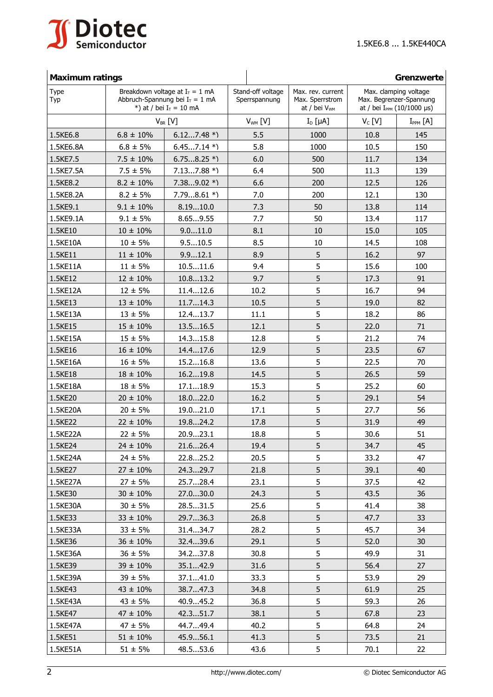

| <b>Maximum ratings</b> |                |                                                                                                     |              |                                                                  |                                                                                     | Grenzwerte      |
|------------------------|----------------|-----------------------------------------------------------------------------------------------------|--------------|------------------------------------------------------------------|-------------------------------------------------------------------------------------|-----------------|
| Type<br>Typ            |                | Breakdown voltage at $I_T = 1$ mA<br>Abbruch-Spannung bei $I_T = 1$ mA<br>*) at / bei $I_T = 10$ mA |              | Max. rev. current<br>Max. Sperrstrom<br>at / bei V <sub>wm</sub> | Max. clamping voltage<br>Max. Begrenzer-Spannung<br>at / bei $I_{PPM}$ (10/1000 µs) |                 |
|                        |                | $V_{BR}$ [V]                                                                                        | $V_{WM}$ [V] | $I_D$ [ $\mu$ A]                                                 | $V_c$ [V]                                                                           | $I_{PPM}$ $[A]$ |
| 1.5KE6.8               | $6.8 \pm 10\%$ | $6.127.48*$                                                                                         | 5.5          | 1000                                                             | 10.8                                                                                | 145             |
| 1.5KE6.8A              | $6.8 \pm 5\%$  | $6.457.14*$                                                                                         | 5.8          | 1000                                                             | 10.5                                                                                | 150             |
| 1.5KE7.5               | $7.5 \pm 10\%$ | $6.758.25*$                                                                                         | 6.0          | 500                                                              | 11.7                                                                                | 134             |
| 1.5KE7.5A              | $7.5 \pm 5\%$  | $7.137.88 *$                                                                                        | 6.4          | 500                                                              | 11.3                                                                                | 139             |
| 1.5KE8.2               | $8.2 \pm 10\%$ | $7.389.02 *$                                                                                        | 6.6          | 200                                                              | 12.5                                                                                | 126             |
| 1.5KE8.2A              | $8.2 \pm 5\%$  | $7.798.61 *$                                                                                        | 7.0          | 200                                                              | 12.1                                                                                | 130             |
| 1.5KE9.1               | $9.1 \pm 10\%$ | 8.1910.0                                                                                            | 7.3          | 50                                                               | 13.8                                                                                | 114             |
| 1.5KE9.1A              | $9.1 \pm 5\%$  | 8.659.55                                                                                            | 7.7          | 50                                                               | 13.4                                                                                | 117             |
| 1.5KE10                | $10 \pm 10\%$  | 9.011.0                                                                                             | 8.1          | 10                                                               | 15.0                                                                                | 105             |
| 1.5KE10A               | $10 \pm 5\%$   | 9.510.5                                                                                             | 8.5          | 10                                                               | 14.5                                                                                | 108             |
| 1.5KE11                | $11 \pm 10\%$  | 9.912.1                                                                                             | 8.9          | 5                                                                | 16.2                                                                                | 97              |
| 1.5KE11A               | $11 \pm 5\%$   | 10.511.6                                                                                            | 9.4          | 5                                                                | 15.6                                                                                | 100             |
| 1.5KE12                | $12 \pm 10\%$  | 10.813.2                                                                                            | 9.7          | 5                                                                | 17.3                                                                                | 91              |
| 1.5KE12A               | $12 \pm 5\%$   | 11.412.6                                                                                            | 10.2         | 5                                                                | 16.7                                                                                | 94              |
| 1.5KE13                | $13 \pm 10\%$  | 11.714.3                                                                                            | 10.5         | 5                                                                | 19.0                                                                                | 82              |
| 1.5KE13A               | $13 + 5%$      | 12.413.7                                                                                            | 11.1         | 5                                                                | 18.2                                                                                | 86              |
| 1.5KE15                | $15 \pm 10\%$  | 13.516.5                                                                                            | 12.1         | 5                                                                | 22.0                                                                                | 71              |
| 1.5KE15A               | $15 \pm 5\%$   | 14.315.8                                                                                            | 12.8         | 5                                                                | 21.2                                                                                | 74              |
| 1.5KE16                | $16 \pm 10\%$  | 14.417.6                                                                                            | 12.9         | 5                                                                | 23.5                                                                                | 67              |
| 1.5KE16A               | $16 \pm 5\%$   | 15.216.8                                                                                            | 13.6         | 5                                                                | 22.5                                                                                | 70              |
| 1.5KE18                | $18 \pm 10\%$  | 16.219.8                                                                                            | 14.5         | 5                                                                | 26.5                                                                                | 59              |
| 1.5KE18A               | $18 \pm 5\%$   | 17.118.9                                                                                            | 15.3         | 5                                                                | 25.2                                                                                | 60              |
| 1.5KE20                | $20 \pm 10\%$  | 18.022.0                                                                                            | 16.2         | 5                                                                | 29.1                                                                                | 54              |
| 1.5KE20A               | $20 \pm 5\%$   | 19.021.0                                                                                            | 17.1         | 5                                                                | 27.7                                                                                | 56              |
| 1.5KE22                | $22 \pm 10\%$  | 19.824.2                                                                                            | 17.8         | 5                                                                | 31.9                                                                                | 49              |
| 1.5KE22A               | $22 \pm 5\%$   | 20.923.1                                                                                            | 18.8         | 5                                                                | 30.6                                                                                | 51              |
| 1.5KE24                | $24 \pm 10\%$  | 21.626.4                                                                                            | 19.4         | 5                                                                | 34.7                                                                                | 45              |
| 1.5KE24A               | $24 \pm 5\%$   | 22.825.2                                                                                            | 20.5         | 5                                                                | 33.2                                                                                | 47              |
| 1.5KE27                | $27 \pm 10\%$  | 24.329.7                                                                                            | 21.8         | 5                                                                | 39.1                                                                                | 40              |
| 1.5KE27A               | $27 \pm 5\%$   | 25.728.4                                                                                            | 23.1         | 5                                                                | 37.5                                                                                | 42              |
| 1.5KE30                | $30 \pm 10\%$  | 27.030.0                                                                                            | 24.3         | 5                                                                | 43.5                                                                                | 36              |
| 1.5KE30A               | $30 \pm 5\%$   | 28.531.5                                                                                            | 25.6         | 5                                                                | 41.4                                                                                | 38              |
| 1.5KE33                | $33 \pm 10\%$  | 29.736.3                                                                                            | 26.8         | 5                                                                | 47.7                                                                                | 33              |
| 1.5KE33A               | $33 \pm 5\%$   | 31.434.7                                                                                            | 28.2         | 5                                                                | 45.7                                                                                | 34              |
| 1.5KE36                | $36 \pm 10\%$  | 32.439.6                                                                                            | 29.1         | 5                                                                | 52.0                                                                                | 30              |
| 1.5KE36A               | $36 \pm 5\%$   | 34.237.8                                                                                            | 30.8         | 5                                                                | 49.9                                                                                | 31              |
| 1.5KE39                | $39 \pm 10\%$  | 35.142.9                                                                                            | 31.6         | 5                                                                | 56.4                                                                                | 27              |
| 1.5KE39A               | $39 \pm 5\%$   | 37.141.0                                                                                            | 33.3         | 5                                                                | 53.9                                                                                | 29              |
| 1.5KE43                | $43 \pm 10\%$  | 38.747.3                                                                                            | 34.8         | 5                                                                | 61.9                                                                                | 25              |
| 1.5KE43A               | $43 \pm 5\%$   | 40.945.2                                                                                            | 36.8         | 5                                                                | 59.3                                                                                | 26              |
| 1.5KE47                | $47 \pm 10\%$  | 42.351.7                                                                                            | 38.1         | 5                                                                | 67.8                                                                                | 23              |
| 1.5KE47A               | $47 \pm 5%$    | 44.749.4                                                                                            | 40.2         | 5                                                                | 64.8                                                                                | 24              |
| 1.5KE51                | $51 \pm 10\%$  | 45.956.1                                                                                            | 41.3         | 5                                                                | 73.5                                                                                | 21              |
| 1.5KE51A               | $51 \pm 5\%$   | 48.553.6                                                                                            | 43.6         | 5                                                                | 70.1                                                                                | 22              |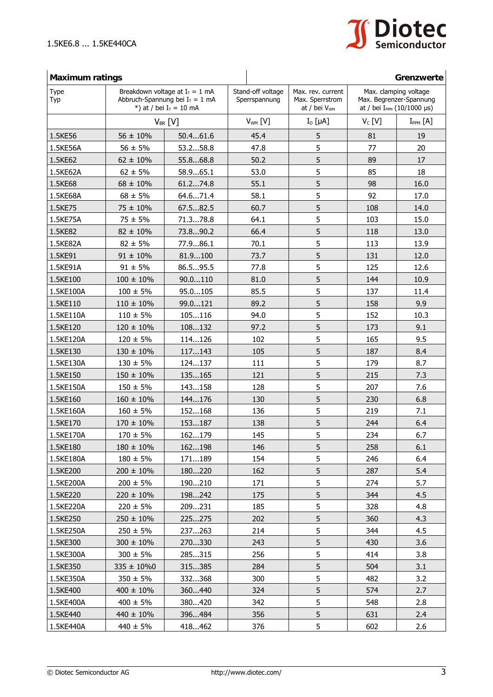

| Type<br>Typ |                  | <b>Maximum ratings</b><br>Breakdown voltage at $I_T = 1$ mA<br>Abbruch-Spannung bei $I_T = 1$ mA<br>*) at / bei $I_T = 10$ mA |              | Max. rev. current<br>Max. Sperrstrom<br>at / bei V <sub>WM</sub> | Grenzwerte<br>Max. clamping voltage<br>Max. Begrenzer-Spannung<br>at / bei I <sub>PPM</sub> (10/1000 µs) |                 |
|-------------|------------------|-------------------------------------------------------------------------------------------------------------------------------|--------------|------------------------------------------------------------------|----------------------------------------------------------------------------------------------------------|-----------------|
|             |                  | $V_{BR}$ [V]                                                                                                                  | $V_{WM}$ [V] | $I_D$ [µA]                                                       | $V_c$ [V]                                                                                                | $I_{PPM}$ $[A]$ |
| 1.5KE56     | $56 \pm 10\%$    | 50.461.6                                                                                                                      | 45.4         | 5                                                                | 81                                                                                                       | 19              |
| 1.5KE56A    | $56 \pm 5\%$     | 53.258.8                                                                                                                      | 47.8         | 5                                                                | 77                                                                                                       | 20              |
| 1.5KE62     | $62 \pm 10\%$    | 55.868.8                                                                                                                      | 50.2         | 5                                                                | 89                                                                                                       | 17              |
| 1.5KE62A    | $62 \pm 5\%$     | 58.965.1                                                                                                                      | 53.0         | 5                                                                | 85                                                                                                       | 18              |
| 1.5KE68     | $68 \pm 10\%$    | 61.274.8                                                                                                                      | 55.1         | 5                                                                | 98                                                                                                       | 16.0            |
| 1.5KE68A    | $68 \pm 5\%$     | 64.671.4                                                                                                                      | 58.1         | 5                                                                | 92                                                                                                       | 17.0            |
| 1.5KE75     | $75 \pm 10\%$    | 67.582.5                                                                                                                      | 60.7         | 5                                                                | 108                                                                                                      | 14.0            |
| 1.5KE75A    | $75 \pm 5\%$     | 71.378.8                                                                                                                      | 64.1         | 5                                                                | 103                                                                                                      | 15.0            |
| 1.5KE82     | $82 \pm 10\%$    | 73.890.2                                                                                                                      | 66.4         | 5                                                                | 118                                                                                                      | 13.0            |
| 1.5KE82A    | $82 \pm 5\%$     | 77.986.1                                                                                                                      | 70.1         | 5                                                                | 113                                                                                                      | 13.9            |
| 1.5KE91     | $91 \pm 10\%$    | 81.9100                                                                                                                       | 73.7         | 5                                                                | 131                                                                                                      | 12.0            |
| 1.5KE91A    | $91 \pm 5\%$     | 86.595.5                                                                                                                      | 77.8         | 5                                                                | 125                                                                                                      | 12.6            |
| 1.5KE100    | $100 \pm 10\%$   | 90.0110                                                                                                                       | 81.0         | 5                                                                | 144                                                                                                      | 10.9            |
| 1.5KE100A   | $100 \pm 5\%$    | 95.0105                                                                                                                       | 85.5         | 5                                                                | 137                                                                                                      | 11.4            |
| 1.5KE110    | $110 \pm 10\%$   | 99.0121                                                                                                                       | 89.2         | 5                                                                | 158                                                                                                      | 9.9             |
| 1.5KE110A   | $110 \pm 5\%$    | 105116                                                                                                                        | 94.0         | 5                                                                | 152                                                                                                      | 10.3            |
| 1.5KE120    | $120 \pm 10\%$   | 108132                                                                                                                        | 97.2         | 5                                                                | 173                                                                                                      | 9.1             |
| 1.5KE120A   | $120 \pm 5\%$    | 114126                                                                                                                        | 102          | 5                                                                | 165                                                                                                      | 9.5             |
| 1.5KE130    | $130 \pm 10\%$   | 117143                                                                                                                        | 105          | 5                                                                | 187                                                                                                      | 8.4             |
| 1.5KE130A   | $130 \pm 5\%$    | 124137                                                                                                                        | 111          | 5                                                                | 179                                                                                                      | 8.7             |
| 1.5KE150    | $150 \pm 10\%$   | 135165                                                                                                                        | 121          | 5                                                                | 215                                                                                                      | 7.3             |
| 1.5KE150A   | $150 \pm 5\%$    | 143158                                                                                                                        | 128          | 5                                                                | 207                                                                                                      | 7.6             |
| 1.5KE160    | $160 \pm 10\%$   | 144176                                                                                                                        | 130          | 5                                                                | 230                                                                                                      | 6.8             |
| 1.5KE160A   | $160 \pm 5\%$    | 152168                                                                                                                        | 136          | 5                                                                | 219                                                                                                      | 7.1             |
| 1.5KE170    | $170 \pm 10\%$   | 153187                                                                                                                        | 138          | 5                                                                | 244                                                                                                      | 6.4             |
| 1.5KE170A   | $170 \pm 5\%$    | 162179                                                                                                                        | 145          | 5                                                                | 234                                                                                                      | 6.7             |
| 1.5KE180    | $180 \pm 10\%$   | 162198                                                                                                                        | 146          | 5                                                                | 258                                                                                                      | 6.1             |
| 1.5KE180A   | $180 \pm 5\%$    | 171189                                                                                                                        | 154          | 5                                                                | 246                                                                                                      | 6.4             |
| 1.5KE200    | $200 \pm 10\%$   | 180220                                                                                                                        | 162          | 5                                                                | 287                                                                                                      | 5.4             |
| 1.5KE200A   | $200 \pm 5\%$    | 190210                                                                                                                        | 171          | 5                                                                | 274                                                                                                      | 5.7             |
| 1.5KE220    | $220 \pm 10\%$   | 198242                                                                                                                        | 175          | 5                                                                | 344                                                                                                      | 4.5             |
| 1.5KE220A   | $220 \pm 5\%$    | 209231                                                                                                                        | 185          | 5                                                                | 328                                                                                                      | 4.8             |
| 1.5KE250    | $250 \pm 10\%$   | 225275                                                                                                                        | 202          | 5                                                                | 360                                                                                                      | 4.3             |
| 1.5KE250A   | $250 \pm 5\%$    | 237263                                                                                                                        | 214          | 5                                                                | 344                                                                                                      | 4.5             |
| 1.5KE300    | $300 \pm 10\%$   | 270330                                                                                                                        | 243          | 5                                                                | 430                                                                                                      | 3.6             |
| 1.5KE300A   | $300 \pm 5\%$    | 285315                                                                                                                        | 256          | 5                                                                | 414                                                                                                      | 3.8             |
| 1.5KE350    | $335 \pm 10\%$ 0 | 315385                                                                                                                        | 284          | 5                                                                | 504                                                                                                      | 3.1             |
| 1.5KE350A   | $350 \pm 5\%$    | 332368                                                                                                                        | 300          | 5                                                                | 482                                                                                                      | 3.2             |
| 1.5KE400    | $400 \pm 10\%$   | 360440                                                                                                                        | 324          | 5                                                                | 574                                                                                                      | 2.7             |
| 1.5KE400A   | $400 \pm 5\%$    | 380420                                                                                                                        | 342          | 5                                                                | 548                                                                                                      | 2.8             |
| 1.5KE440    | $440 \pm 10\%$   | 396484                                                                                                                        | 356          | 5                                                                | 631                                                                                                      | 2.4             |
| 1.5KE440A   | $440 \pm 5\%$    | 418462                                                                                                                        | 376          | 5                                                                | 602                                                                                                      | 2.6             |